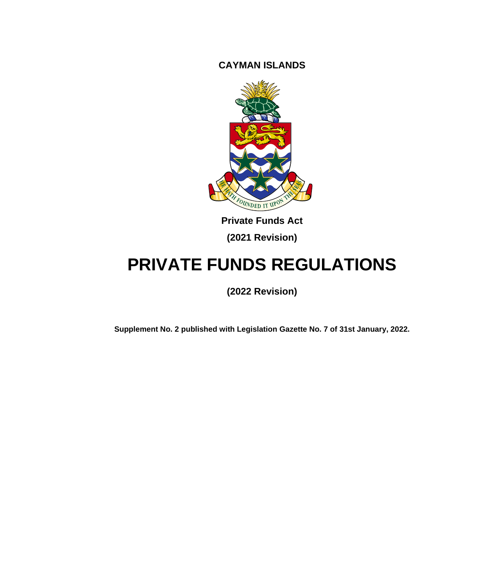**CAYMAN ISLANDS**



**Private Funds Act (2021 Revision)**

# **PRIVATE FUNDS REGULATIONS**

**(2022 Revision)**

**Supplement No. 2 published with Legislation Gazette No. 7 of 31st January, 2022.**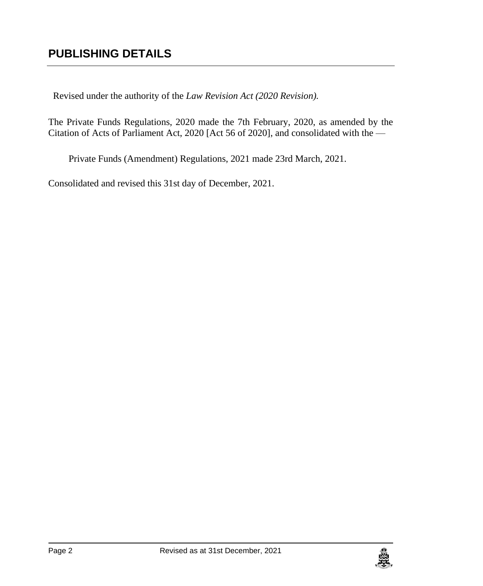Revised under the authority of the *Law Revision Act (2020 Revision).*

The Private Funds Regulations, 2020 made the 7th February, 2020, as amended by the Citation of Acts of Parliament Act, 2020 [Act 56 of 2020], and consolidated with the —

Private Funds (Amendment) Regulations, 2021 made 23rd March, 2021.

Consolidated and revised this 31st day of December, 2021.

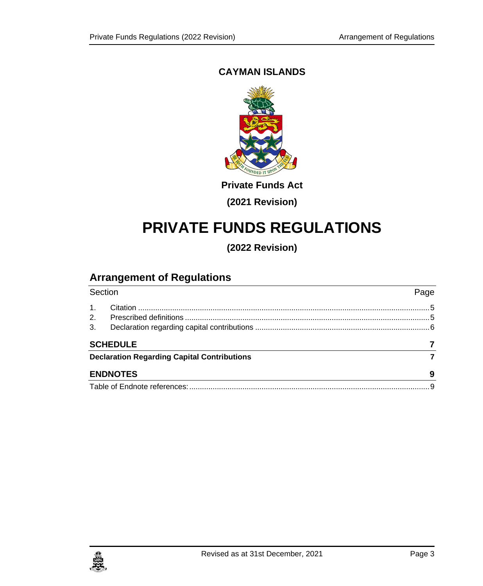#### **CAYMAN ISLANDS**



**Private Funds Act**

**(2021 Revision)**

## **PRIVATE FUNDS REGULATIONS**

**(2022 Revision)**

#### **Arrangement of Regulations**

|                                                    | Section         | Page |  |
|----------------------------------------------------|-----------------|------|--|
| $\mathbf{1}$ .<br>2.                               |                 |      |  |
| 3.<br><b>SCHEDULE</b>                              |                 |      |  |
| <b>Declaration Regarding Capital Contributions</b> |                 |      |  |
|                                                    | <b>ENDNOTES</b> | 9    |  |
|                                                    |                 |      |  |

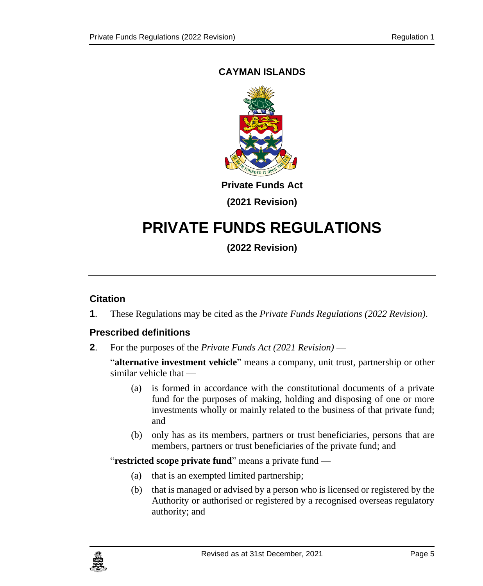#### <span id="page-4-0"></span>**CAYMAN ISLANDS**



**Private Funds Act**

**(2021 Revision)**

## **PRIVATE FUNDS REGULATIONS**

**(2022 Revision)**

#### **1. Citation**

**1**. These Regulations may be cited as the *Private Funds Regulations (2022 Revision)*.

#### <span id="page-4-1"></span>**2. Prescribed definitions**

**2**. For the purposes of the *Private Funds Act (2021 Revision)* —

"**alternative investment vehicle**" means a company, unit trust, partnership or other similar vehicle that —

- (a) is formed in accordance with the constitutional documents of a private fund for the purposes of making, holding and disposing of one or more investments wholly or mainly related to the business of that private fund; and
- (b) only has as its members, partners or trust beneficiaries, persons that are members, partners or trust beneficiaries of the private fund; and

"**restricted scope private fund**" means a private fund —

- (a) that is an exempted limited partnership;
- (b) that is managed or advised by a person who is licensed or registered by the Authority or authorised or registered by a recognised overseas regulatory authority; and

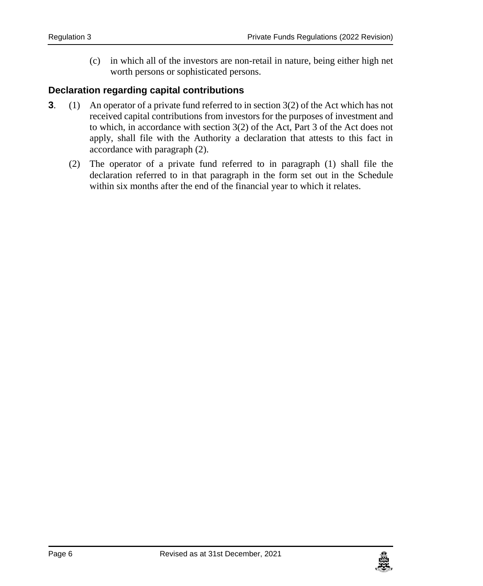(c) in which all of the investors are non-retail in nature, being either high net worth persons or sophisticated persons.

#### <span id="page-5-0"></span>**3. Declaration regarding capital contributions**

- **3**. (1) An operator of a private fund referred to in section 3(2) of the Act which has not received capital contributions from investors for the purposes of investment and to which, in accordance with section 3(2) of the Act, Part 3 of the Act does not apply, shall file with the Authority a declaration that attests to this fact in accordance with paragraph (2).
	- (2) The operator of a private fund referred to in paragraph (1) shall file the declaration referred to in that paragraph in the form set out in the Schedule within six months after the end of the financial year to which it relates.

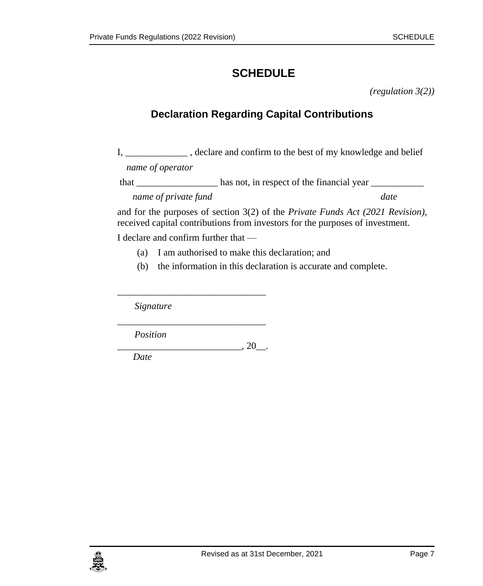### <span id="page-6-0"></span>**SCHEDULE**

*(regulation 3(2))*

#### <span id="page-6-1"></span>**Declaration Regarding Capital Contributions**

I, \_\_\_\_\_\_\_\_\_\_\_\_\_ , declare and confirm to the best of my knowledge and belief  *name of operator*

that \_\_\_\_\_\_\_\_\_\_\_\_\_\_\_\_\_\_\_ has not, in respect of the financial year \_\_\_\_\_\_\_\_\_\_\_\_\_

*name of private fund date*

and for the purposes of section 3(2) of the *Private Funds Act (2021 Revision)*, received capital contributions from investors for the purposes of investment.

I declare and confirm further that —

\_\_\_\_\_\_\_\_\_\_\_\_\_\_\_\_\_\_\_\_\_\_\_\_\_\_\_\_\_\_\_

\_\_\_\_\_\_\_\_\_\_\_\_\_\_\_\_\_\_\_\_\_\_\_\_\_\_\_\_\_\_\_

- (a) I am authorised to make this declaration; and
- (b) the information in this declaration is accurate and complete.

*Signature*

*Position*

 $\frac{1}{20}$ , 20\_.

*Date*

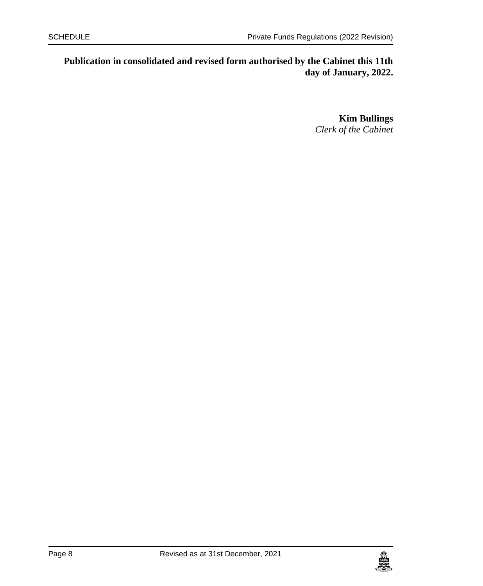#### **Publication in consolidated and revised form authorised by the Cabinet this 11th day of January, 2022.**

**Kim Bullings** *Clerk of the Cabinet*

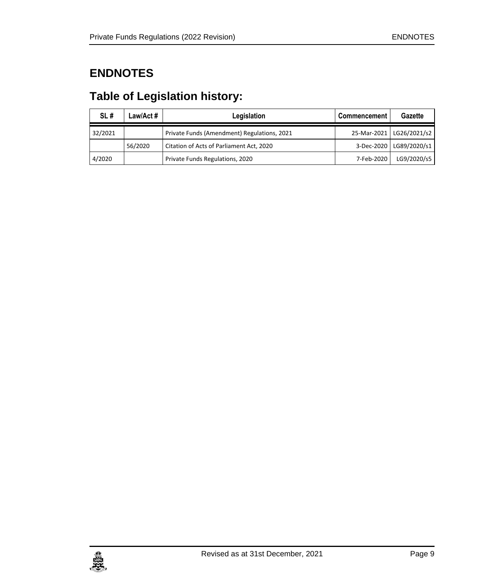## <span id="page-8-0"></span>**ENDNOTES**

### <span id="page-8-1"></span>**Table of Legislation history:**

| SL#     | Law/Act # | Legislation                                 | Commencement | Gazette                  |
|---------|-----------|---------------------------------------------|--------------|--------------------------|
| 32/2021 |           | Private Funds (Amendment) Regulations, 2021 |              | 25-Mar-2021 LG26/2021/s2 |
|         | 56/2020   | Citation of Acts of Parliament Act, 2020    |              | 3-Dec-2020 LG89/2020/s1  |
| 4/2020  |           | Private Funds Regulations, 2020             | 7-Feb-2020   | LG9/2020/s5              |

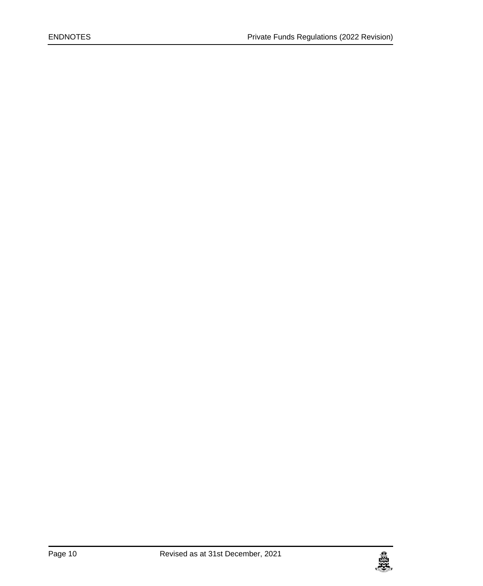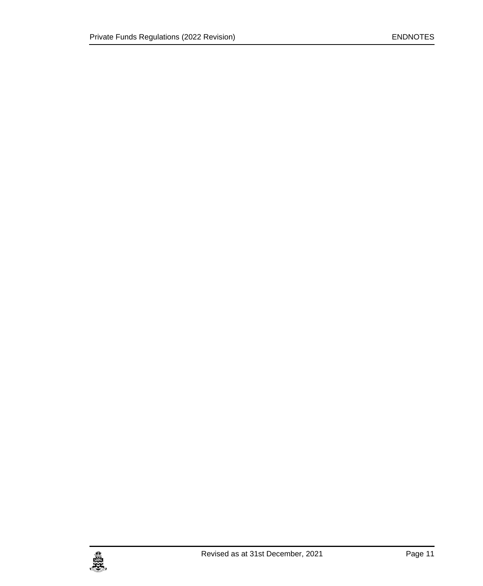